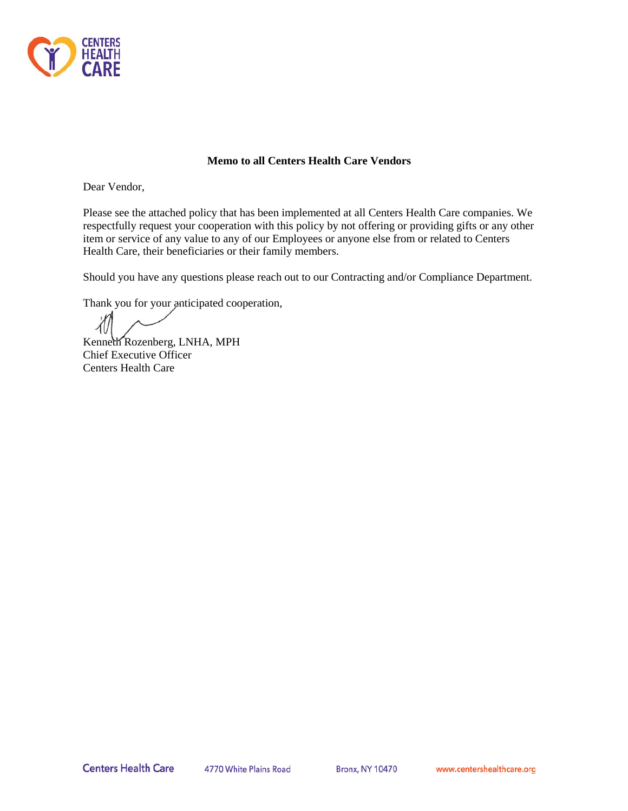

## **Memo to all Centers Health Care Vendors**

Dear Vendor,

Please see the attached policy that has been implemented at all Centers Health Care companies. We respectfully request your cooperation with this policy by not offering or providing gifts or any other item or service of any value to any of our Employees or anyone else from or related to Centers Health Care, their beneficiaries or their family members.

Should you have any questions please reach out to our Contracting and/or Compliance Department.

Thank you for your anticipated cooperation,

Kenneth Rozenberg, LNHA, MPH Chief Executive Officer Centers Health Care